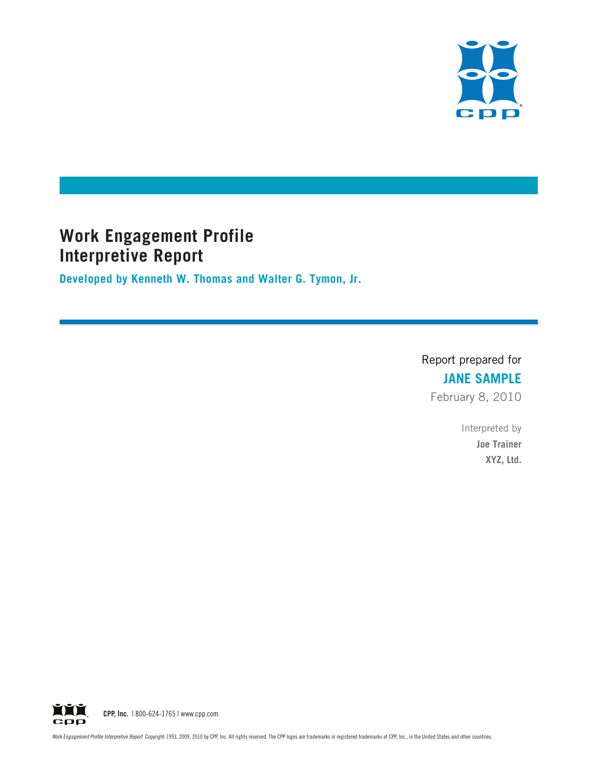

# **Work Engagement Profile Interpretive Report**

**Developed by Kenneth W. Thomas and Walter G. Tymon, Jr.**

Report prepared for **JANE SAMPLE** February 8, 2010

> Interpreted by **Joe Trainer XYZ, Ltd.**

**YYY** CPP, Inc. | 800-624-1765 | www.cpp.com срр

Work Engagement Profile Interpretive Report Copyright 1993, 2009, 2010 by CPP, Inc. All rights reserved. The CPP logos are trademarks or registered trademarks of CPP, Inc., in the United States and other countries.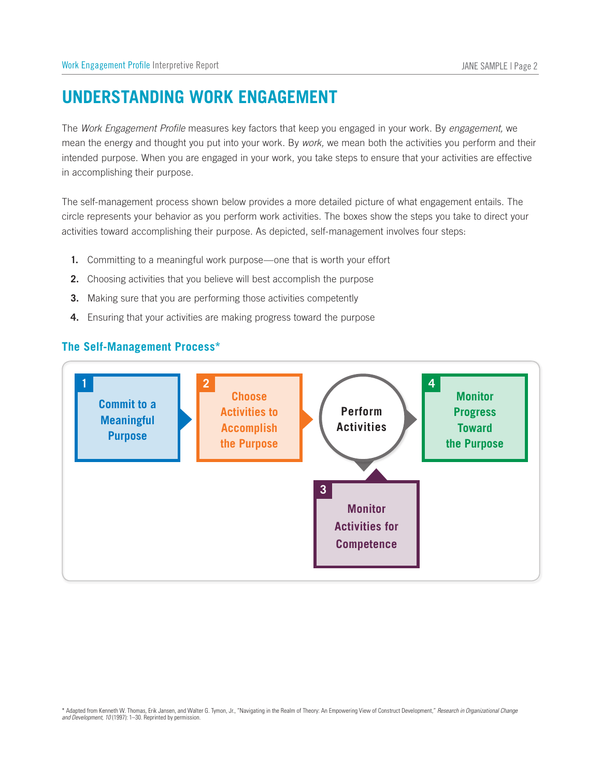# **Understanding Work Engagement**

The *Work Engagement Profile* measures key factors that keep you engaged in your work. By *engagement,* we mean the energy and thought you put into your work. By *work,* we mean both the activities you perform and their intended purpose. When you are engaged in your work, you take steps to ensure that your activities are effective in accomplishing their purpose. Work Engagement Profile Interpretive Report<br> **UNDERSTANDING WOR**<br>
The *Work Engagement Profile* measure<br>
mean the energy and thought you put<br>
intended purpose. When you are engain<br>
accomplishing their purpose.<br>
The self-ma JANE SAM<br>
m*gageme*<br>
u perform<br>
vities are<br>
nent enta<br>
ake to dir<br> **Monitor** 

The self-management process shown below provides a more detailed picture of what engagement entails. The circle represents your behavior as you perform work activities. The boxes show the steps you take to direct your activities toward accomplishing their purpose. As depicted, self-management involves four steps:

- **1.** Committing to a meaningful work purpose—one that is worth your effort
- **2.** Choosing activities that you believe will best accomplish the purpose
- **3.** Making sure that you are performing those activities competently
- **4.** Ensuring that your activities are making progress toward the purpose



<sup>\*</sup> Adapted from Kenneth W. Thomas, Erik Jansen, and Walter G. Tymon, Jr., "Navigating in the Realm of Theory: An Empowering View of Construct Development," *Research in Organizational Change and Development, 10* (1997): 1–30. Reprinted by permission.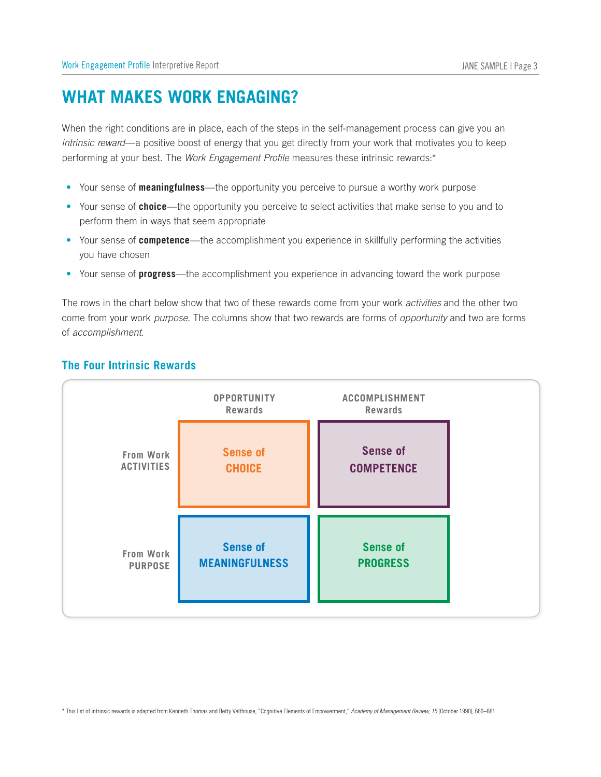# **WHAT MAKES WORK ENGAGING?**

When the right conditions are in place, each of the steps in the self-management process can give you an *intrinsic reward*—a positive boost of energy that you get directly from your work that motivates you to keep performing at your best. The *Work Engagement Profile* measures these intrinsic rewards:\* rt<br> **CONCAGIN**<br>
Dec<sub>ree</sub>, each of the<br>
energy that you<br>
ingagement Pre<br>
the opportunity<br>
our performate<br>
accomplishment<br>
at two of these<br>
columns show<br> **OPPORTUNITY** Franagement proce<br>
Im your work that mese intrinsic reward<br>
Do pursue a worthy v<br>
Civities that make s<br>
Ce in skillfully perfo<br>
In advancing toward<br>
Trom your work *active*<br>
The Same of opport<br>
ACCOMPLISHMENT Work Engagement Profile Interpretive<br>
WHAT MAKES WOI<br>
When the right conditions are in<br>
intrinsic reward—a positive boos<br>
performing at your best. The *We*<br>
• Your sense of **choice**—the c<br>
perform them in ways that s<br>
• Yo

- • Your sense of **meaningfulness**—the opportunity you perceive to pursue a worthy work purpose
- Your sense of **choice**—the opportunity you perceive to select activities that make sense to you and to perform them in ways that seem appropriate
- • Your sense of **competence**—the accomplishment you experience in skillfully performing the activities you have chosen
- • Your sense of **progress**—the accomplishment you experience in advancing toward the work purpose

The rows in the chart below show that two of these rewards come from your work *activities* and the other two come from your work *purpose.* The columns show that two rewards are forms of *opportunity* and two are forms of *accomplishment.*

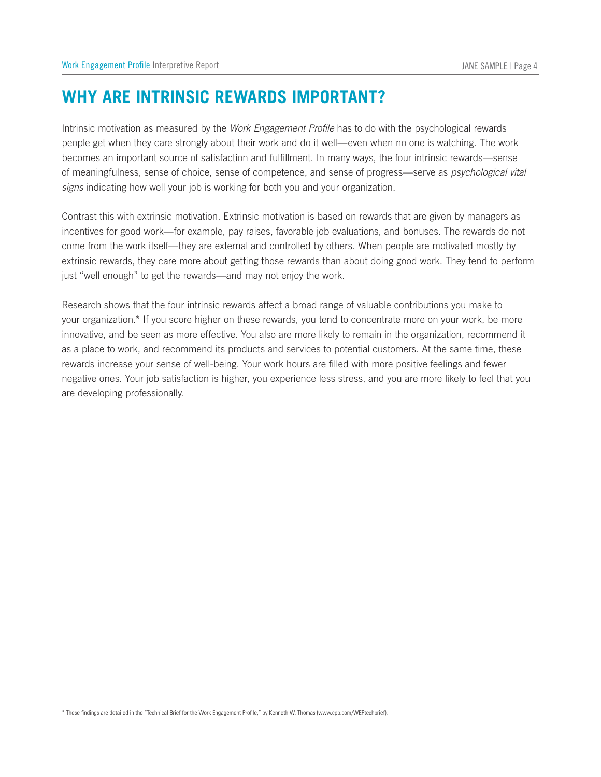# **<sup>W</sup>hy Are Intrinsic Rewards Important?**

Intrinsic motivation as measured by the *Work Engagement Profile* has to do with the psychological rewards people get when they care strongly about their work and do it well—even when no one is watching. The work becomes an important source of satisfaction and fulfillment. In many ways, the four intrinsic rewards—sense of meaningfulness, sense of choice, sense of competence, and sense of progress—serve as *psychological vital signs* indicating how well your job is working for both you and your organization.

Contrast this with extrinsic motivation. Extrinsic motivation is based on rewards that are given by managers as incentives for good work—for example, pay raises, favorable job evaluations, and bonuses. The rewards do not come from the work itself—they are external and controlled by others. When people are motivated mostly by extrinsic rewards, they care more about getting those rewards than about doing good work. They tend to perform just "well enough" to get the rewards—and may not enjoy the work.

Research shows that the four intrinsic rewards affect a broad range of valuable contributions you make to your organization.\* If you score higher on these rewards, you tend to concentrate more on your work, be more innovative, and be seen as more effective. You also are more likely to remain in the organization, recommend it as a place to work, and recommend its products and services to potential customers. At the same time, these rewards increase your sense of well-being. Your work hours are filled with more positive feelings and fewer negative ones. Your job satisfaction is higher, you experience less stress, and you are more likely to feel that you are developing professionally.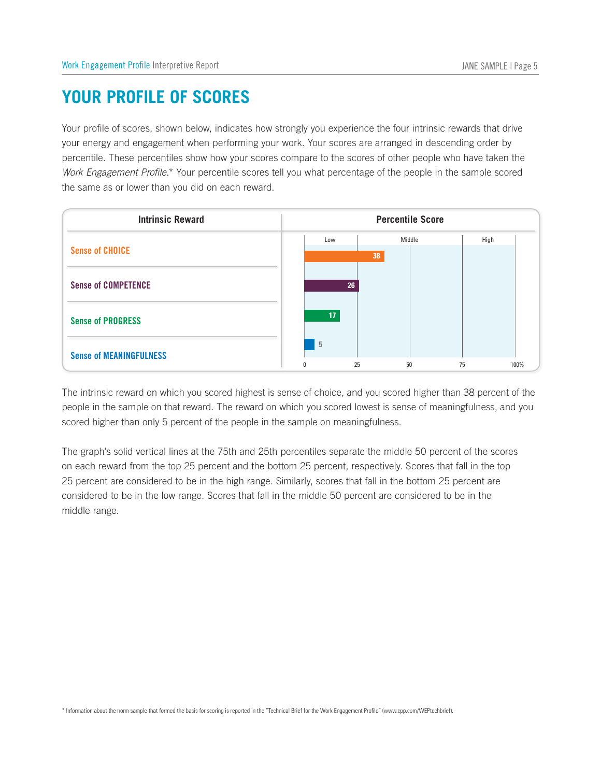# **Your Profile of Scores**

Your profile of scores, shown below, indicates how strongly you experience the four intrinsic rewards that drive your energy and engagement when performing your work. Your scores are arranged in descending order by percentile. These percentiles show how your scores compare to the scores of other people who have taken the *Work Engagement Profile.*\* Your percentile scores tell you what percentage of the people in the sample scored the same as or lower than you did on each reward. FILE OF SCORES<br> **INSPENSE ASSES**<br>
FILE OF SCORES<br>
The set of the performing your work. Your scores are arranged in desc<br>
percentiles show how your scores compare to the scores of other people<br>
Profile.\* Your percentile sco



The intrinsic reward on which you scored highest is sense of choice, and you scored higher than 38 percent of the people in the sample on that reward. The reward on which you scored lowest is sense of meaningfulness, and you scored higher than only 5 percent of the people in the sample on meaningfulness.

The graph's solid vertical lines at the 75th and 25th percentiles separate the middle 50 percent of the scores on each reward from the top 25 percent and the bottom 25 percent, respectively. Scores that fall in the top 25 percent are considered to be in the high range. Similarly, scores that fall in the bottom 25 percent are considered to be in the low range. Scores that fall in the middle 50 percent are considered to be in the middle range.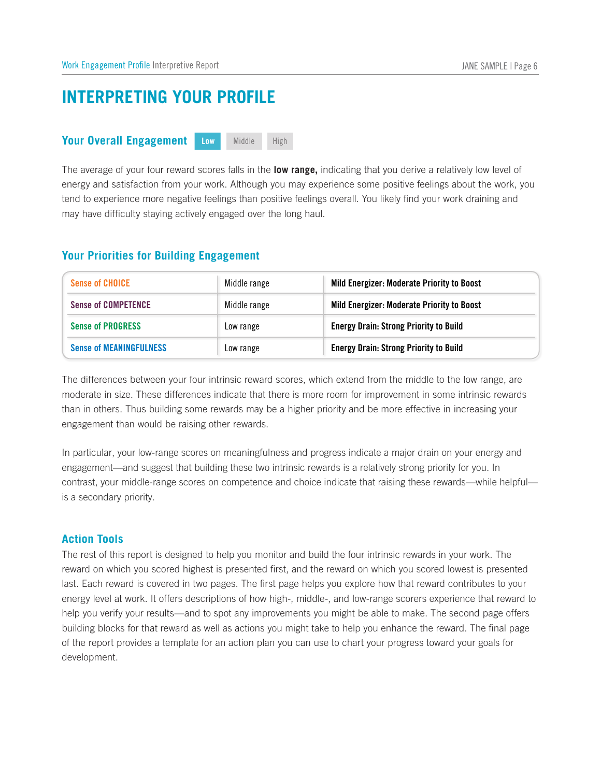# **INTERPRETING YOUR PROFILE** *<u>Work Engagement Profile Interpretively</u>***<br>
<b>INTERPRETING YOUR OVER ALL**<br> **Your Overall Engagement**

### Low Middle High

| Work Engagement Profile Interpretive Report                                                                        |                       | JANE SAMPLE   Page 6                                                                                                                                                                                                                                                                                                                                                                                                                                                                                                                                                                                                                                                                               |
|--------------------------------------------------------------------------------------------------------------------|-----------------------|----------------------------------------------------------------------------------------------------------------------------------------------------------------------------------------------------------------------------------------------------------------------------------------------------------------------------------------------------------------------------------------------------------------------------------------------------------------------------------------------------------------------------------------------------------------------------------------------------------------------------------------------------------------------------------------------------|
| <b>INTERPRETING YOUR PROFILE</b>                                                                                   |                       |                                                                                                                                                                                                                                                                                                                                                                                                                                                                                                                                                                                                                                                                                                    |
| <b>Your Overall Engagement</b>                                                                                     | Middle<br>High<br>Low |                                                                                                                                                                                                                                                                                                                                                                                                                                                                                                                                                                                                                                                                                                    |
| may have difficulty staying actively engaged over the long haul.<br><b>Your Priorities for Building Engagement</b> |                       | The average of your four reward scores falls in the low range, indicating that you derive a relatively low level of<br>energy and satisfaction from your work. Although you may experience some positive feelings about the work, you<br>tend to experience more negative feelings than positive feelings overall. You likely find your work draining and                                                                                                                                                                                                                                                                                                                                          |
| <b>Sense of CHOICE</b>                                                                                             | Middle range          | Mild Energizer: Moderate Priority to Boost                                                                                                                                                                                                                                                                                                                                                                                                                                                                                                                                                                                                                                                         |
| <b>Sense of COMPETENCE</b>                                                                                         | Middle range          | Mild Energizer: Moderate Priority to Boost                                                                                                                                                                                                                                                                                                                                                                                                                                                                                                                                                                                                                                                         |
| <b>Sense of PROGRESS</b>                                                                                           | Low range             | <b>Energy Drain: Strong Priority to Build</b>                                                                                                                                                                                                                                                                                                                                                                                                                                                                                                                                                                                                                                                      |
| <b>Sense of MEANINGFULNESS</b>                                                                                     | Low range             | <b>Energy Drain: Strong Priority to Build</b>                                                                                                                                                                                                                                                                                                                                                                                                                                                                                                                                                                                                                                                      |
| engagement than would be raising other rewards.<br>is a secondary priority.                                        |                       | The differences between your four intrinsic reward scores, which extend from the middle to the low range, are<br>moderate in size. These differences indicate that there is more room for improvement in some intrinsic rewards<br>than in others. Thus building some rewards may be a higher priority and be more effective in increasing your<br>In particular, your low-range scores on meaningfulness and progress indicate a major drain on your energy and<br>engagement—and suggest that building these two intrinsic rewards is a relatively strong priority for you. In<br>contrast, your middle-range scores on competence and choice indicate that raising these rewards—while helpful— |
| <b>Action Tools</b>                                                                                                |                       |                                                                                                                                                                                                                                                                                                                                                                                                                                                                                                                                                                                                                                                                                                    |

### **Action Tools**

The rest of this report is designed to help you monitor and build the four intrinsic rewards in your work. The reward on which you scored highest is presented first, and the reward on which you scored lowest is presented last. Each reward is covered in two pages. The first page helps you explore how that reward contributes to your energy level at work. It offers descriptions of how high-, middle-, and low-range scorers experience that reward to help you verify your results—and to spot any improvements you might be able to make. The second page offers building blocks for that reward as well as actions you might take to help you enhance the reward. The final page of the report provides a template for an action plan you can use to chart your progress toward your goals for development.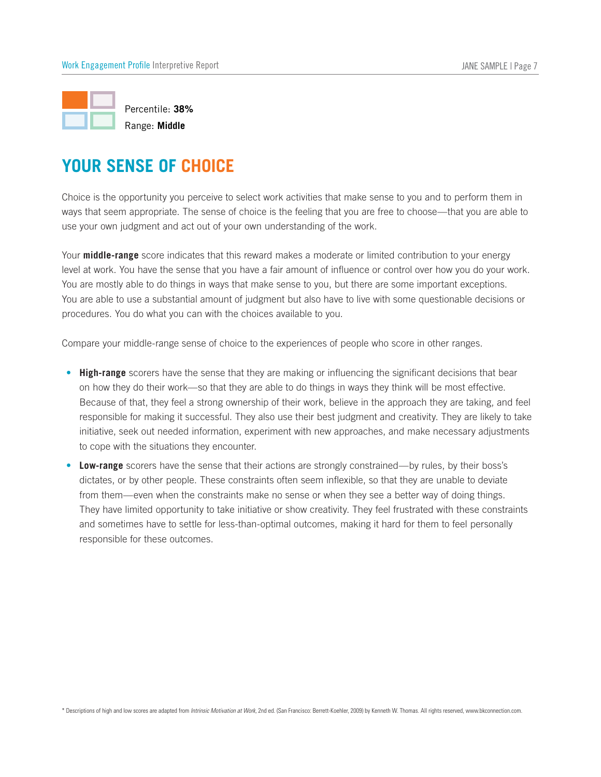

Percentile: **38%** Range: **Middle**

Choice is the opportunity you perceive to select work activities that make sense to you and to perform them in ways that seem appropriate. The sense of choice is the feeling that you are free to choose—that you are able to use your own judgment and act out of your own understanding of the work.

Your **middle-range** score indicates that this reward makes a moderate or limited contribution to your energy level at work. You have the sense that you have a fair amount of influence or control over how you do your work. You are mostly able to do things in ways that make sense to you, but there are some important exceptions. You are able to use a substantial amount of judgment but also have to live with some questionable decisions or procedures. You do what you can with the choices available to you.

Compare your middle-range sense of choice to the experiences of people who score in other ranges.

- **High-range** scorers have the sense that they are making or influencing the significant decisions that bear on how they do their work—so that they are able to do things in ways they think will be most effective. Because of that, they feel a strong ownership of their work, believe in the approach they are taking, and feel responsible for making it successful. They also use their best judgment and creativity. They are likely to take initiative, seek out needed information, experiment with new approaches, and make necessary adjustments to cope with the situations they encounter. **Low-range** scorers have the sense that they are mediation and mediation of the sense that you are the sense of choice is the feeling that you are tree to choose—that you are above own judgment and act out of your own unde
- Low-range scorers have the sense that their actions are strongly constrained—by rules, by their boss's dictates, or by other people. These constraints often seem inflexible, so that they are unable to deviate from them—even when the constraints make no sense or when they see a better way of doing things. They have limited opportunity to take initiative or show creativity. They feel frustrated with these constraints and sometimes have to settle for less-than-optimal outcomes, making it hard for them to feel personally responsible for these outcomes.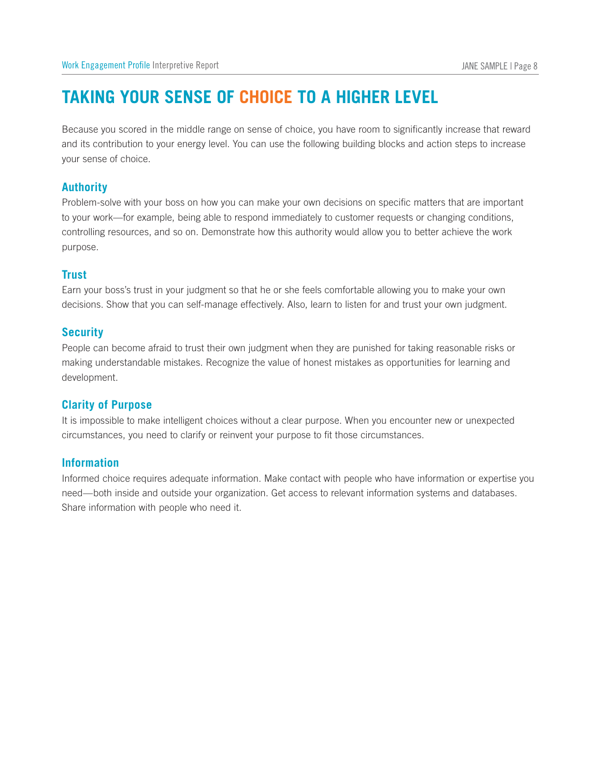# **Taking Your Sense of Choice to a Higher Level**

Because you scored in the middle range on sense of choice, you have room to significantly increase that reward and its contribution to your energy level. You can use the following building blocks and action steps to increase your sense of choice. Work Engage<br>**TAKIN**<br>Because your<br>and its con<br>your sense<br>**Authority** 

Problem-solve with your boss on how you can make your own decisions on specific matters that are important to your work—for example, being able to respond immediately to customer requests or changing conditions, controlling resources, and so on. Demonstrate how this authority would allow you to better achieve the work purpose. and its co<br>your sense<br>**Authorit**<br>Problem-s<br>to your we<br>controlling<br>purpose.<br>**Trust**<br>Earn your<br>decisions.<br>**Security** 

### **Trust**

Earn your boss's trust in your judgment so that he or she feels comfortable allowing you to make your own decisions. Show that you can self-manage effectively. Also, learn to listen for and trust your own judgment.

People can become afraid to trust their own judgment when they are punished for taking reasonable risks or making understandable mistakes. Recognize the value of honest mistakes as opportunities for learning and development.

### **Clarity of Purpose**

It is impossible to make intelligent choices without a clear purpose. When you encounter new or unexpected circumstances, you need to clarify or reinvent your purpose to fit those circumstances.

## **Information**

Informed choice requires adequate information. Make contact with people who have information or expertise you need—both inside and outside your organization. Get access to relevant information systems and databases. Share information with people who need it.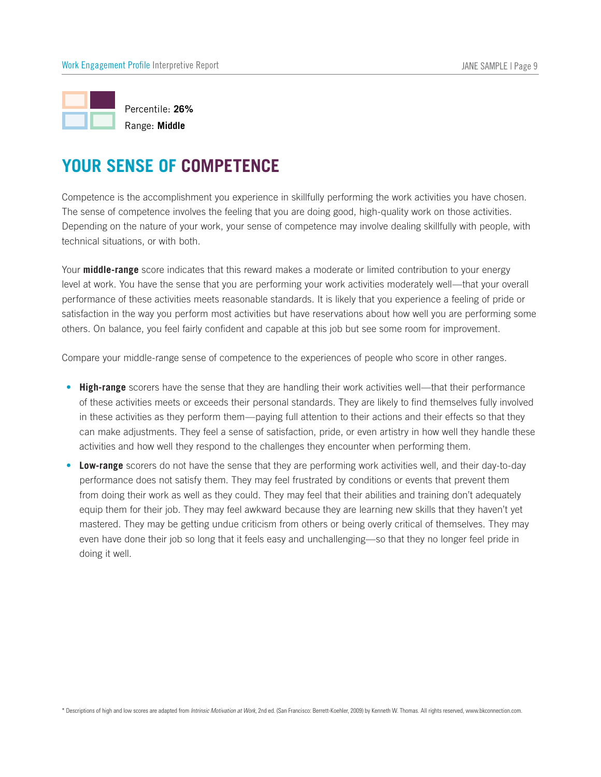

Range: **Middle**

Competence is the accomplishment you experience in skillfully performing the work activities you have chosen. The sense of competence involves the feeling that you are doing good, high-quality work on those activities. Depending on the nature of your work, your sense of competence may involve dealing skillfully with people, with technical situations, or with both.

Your **middle-range** score indicates that this reward makes a moderate or limited contribution to your energy level at work. You have the sense that you are performing your work activities moderately well—that your overall performance of these activities meets reasonable standards. It is likely that you experience a feeling of pride or satisfaction in the way you perform most activities but have reservations about how well you are performing some others. On balance, you feel fairly confident and capable at this job but see some room for improvement.

Compare your middle-range sense of competence to the experiences of people who score in other ranges.

- **High-range** scorers have the sense that they are handling their work activities well—that their performance of these activities meets or exceeds their personal standards. They are likely to find themselves fully involved in these activities as they perform them—paying full attention to their actions and their effects so that they can make adjustments. They feel a sense of satisfaction, pride, or even artistry in how well they handle these activities and how well they respond to the challenges they encounter when performing them. petence is the accomplishment you experience in skillfully performing the work activities you have chosen.<br>
Sense of completence involves the feeling that you are doing good, high-quality work on those activities.<br>
Incidin
- Low-range scorers do not have the sense that they are performing work activities well, and their day-to-day performance does not satisfy them. They may feel frustrated by conditions or events that prevent them from doing their work as well as they could. They may feel that their abilities and training don't adequately equip them for their job. They may feel awkward because they are learning new skills that they haven't yet mastered. They may be getting undue criticism from others or being overly critical of themselves. They may even have done their job so long that it feels easy and unchallenging—so that they no longer feel pride in doing it well.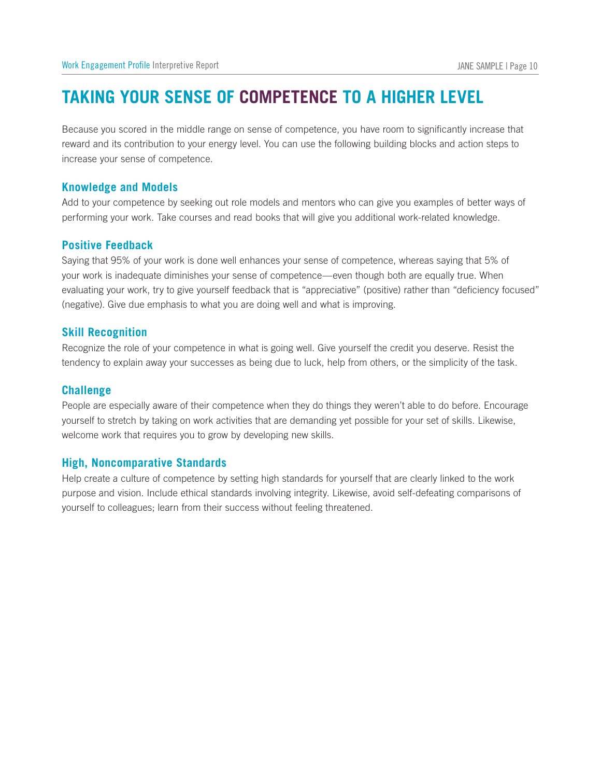# **Taking Your Sense of Competence to a Higher Level**

Because you scored in the middle range on sense of competence, you have room to significantly increase that reward and its contribution to your energy level. You can use the following building blocks and action steps to increase your sense of competence. Work Engagement Profile Interpre<br> **TAKING YOUR SI**<br>
Because you scored in the reward and its contribution<br>
increase your sense of comp<br> **Knowledge and Models** Work Engagement Profile<br> **TAKING YOUI**<br>
Because you scored i<br>
reward and its contrib<br>
increase your sense o<br> **Knowledge and Mendem School**<br>
Positive Feedback<br>
Positive Feedback

Add to your competence by seeking out role models and mentors who can give you examples of better ways of performing your work. Take courses and read books that will give you additional work-related knowledge.

Saying that 95% of your work is done well enhances your sense of competence, whereas saying that 5% of your work is inadequate diminishes your sense of competence—even though both are equally true. When evaluating your work, try to give yourself feedback that is "appreciative" (positive) rather than "deficiency focused" (negative). Give due emphasis to what you are doing well and what is improving. Feward and its contri<br>increase your sense<br>**Knowledge and N**<br>Add to your compete<br>performing your wor<br>**Positive Feedbac**<br>Saying that 95% of y<br>your work is inadequ<br>evaluating your work<br>(negative). Give due<br>**Skill Recognition** 

Recognize the role of your competence in what is going well. Give yourself the credit you deserve. Resist the tendency to explain away your successes as being due to luck, help from others, or the simplicity of the task.

### **Challenge**

People are especially aware of their competence when they do things they weren't able to do before. Encourage yourself to stretch by taking on work activities that are demanding yet possible for your set of skills. Likewise, welcome work that requires you to grow by developing new skills. your work is inadequate diministies you<br>evaluating your work, try to give yoursel<br>(negative). Give due emphasis to what y<br>**Skill Recognition**<br>Recognize the role of your competence<br>tendency to explain away your successe<br>**Ch** 

Help create a culture of competence by setting high standards for yourself that are clearly linked to the work purpose and vision. Include ethical standards involving integrity. Likewise, avoid self-defeating comparisons of yourself to colleagues; learn from their success without feeling threatened.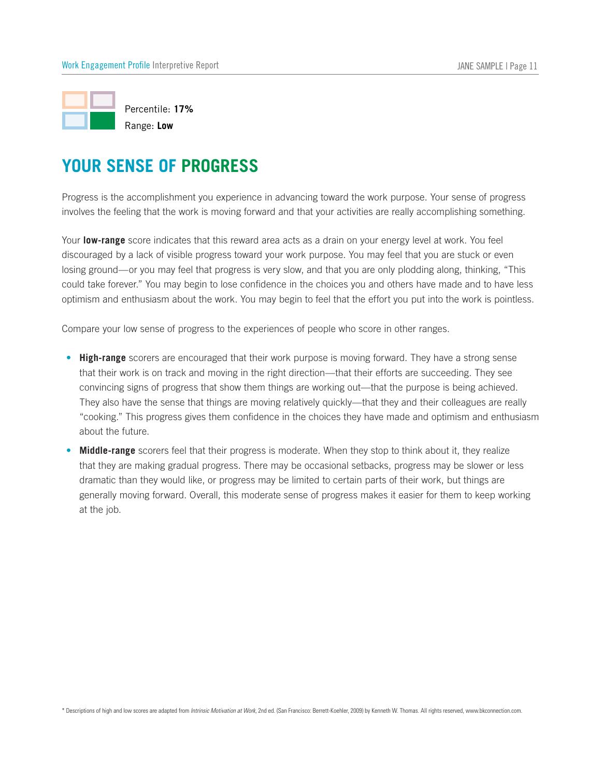

Progress is the accomplishment you experience in advancing toward the work purpose. Your sense of progress involves the feeling that the work is moving forward and that your activities are really accomplishing something.

Your **low-range** score indicates that this reward area acts as a drain on your energy level at work. You feel discouraged by a lack of visible progress toward your work purpose. You may feel that you are stuck or even losing ground—or you may feel that progress is very slow, and that you are only plodding along, thinking, "This could take forever." You may begin to lose confidence in the choices you and others have made and to have less optimism and enthusiasm about the work. You may begin to feel that the effort you put into the work is pointless.

Compare your low sense of progress to the experiences of people who score in other ranges.

- **High-range** scorers are encouraged that their work purpose is moving forward. They have a strong sense that their work is on track and moving in the right direction—that their efforts are succeeding. They see convincing signs of progress that show them things are working out—that the purpose is being achieved. They also have the sense that things are moving relatively quickly—that they and their colleagues are really "cooking." This progress gives them confidence in the choices they have made and optimism and enthusiasm about the future. Wes the teeling that the work is moving forward and that your activities are really accomplishing somethi<br> **Iow-range** score indicates that this reward area acts as a drain on your energy level at work. You feel<br>
buraged b
- Middle-range scorers feel that their progress is moderate. When they stop to think about it, they realize that they are making gradual progress. There may be occasional setbacks, progress may be slower or less dramatic than they would like, or progress may be limited to certain parts of their work, but things are generally moving forward. Overall, this moderate sense of progress makes it easier for them to keep working at the job.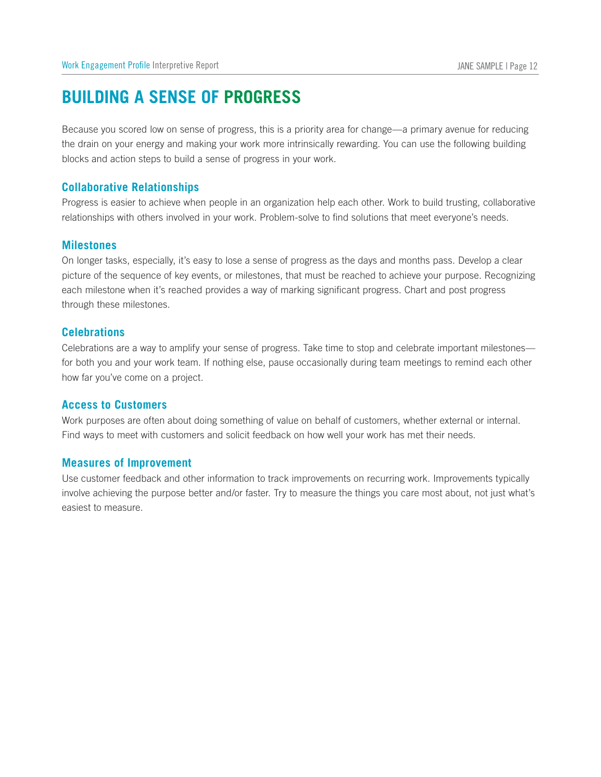# **Building a Sense of Progress**

Because you scored low on sense of progress, this is a priority area for change—a primary avenue for reducing the drain on your energy and making your work more intrinsically rewarding. You can use the following building blocks and action steps to build a sense of progress in your work. Work Engageme<br> **BUILDIN**<br>Because you<br>the drain on<br>
blocks and a<br> **Collaborati**<br>Progress is e<br>
relationships<br> **Milestones** 

### **Collaborative Relationships**

Progress is easier to achieve when people in an organization help each other. Work to build trusting, collaborative relationships with others involved in your work. Problem-solve to find solutions that meet everyone's needs.

On longer tasks, especially, it's easy to lose a sense of progress as the days and months pass. Develop a clear picture of the sequence of key events, or milestones, that must be reached to achieve your purpose. Recognizing each milestone when it's reached provides a way of marking significant progress. Chart and post progress through these milestones. **Milestones**<br>
On longer tasks, especial<br>
picture of the sequence c<br>
each milestone when it's<br>
through these milestones<br> **Celebrations**<br>
Celebrations are a way to<br>
for both you and your wo<br>
how far you've come on a<br> **Access** 

### **Celebrations**

Celebrations are a way to amplify your sense of progress. Take time to stop and celebrate important milestones for both you and your work team. If nothing else, pause occasionally during team meetings to remind each other how far you've come on a project. picture of the sequence of key<br>each milestone when it's reach<br>through these milestones.<br>**Celebrations**<br>Celebrations are a way to ampli<br>for both you and your work teal<br>how far you've come on a proje<br>**Access to Customers**<br>Wo

Work purposes are often about doing something of value on behalf of customers, whether external or internal. Find ways to meet with customers and solicit feedback on how well your work has met their needs.

Use customer feedback and other information to track improvements on recurring work. Improvements typically involve achieving the purpose better and/or faster. Try to measure the things you care most about, not just what's easiest to measure.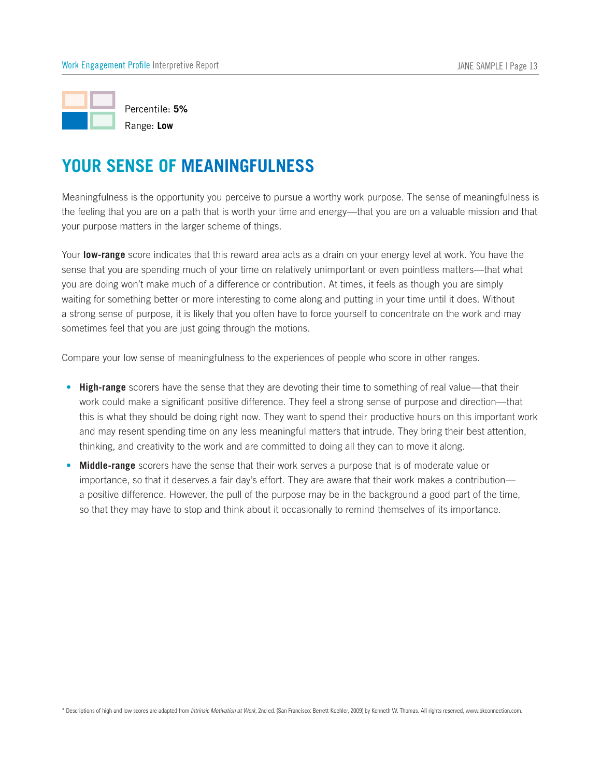

Meaningfulness is the opportunity you perceive to pursue a worthy work purpose. The sense of meaningfulness is the feeling that you are on a path that is worth your time and energy—that you are on a valuable mission and that your purpose matters in the larger scheme of things.

Your **low-range** score indicates that this reward area acts as a drain on your energy level at work. You have the sense that you are spending much of your time on relatively unimportant or even pointless matters—that what you are doing won't make much of a difference or contribution. At times, it feels as though you are simply waiting for something better or more interesting to come along and putting in your time until it does. Without a strong sense of purpose, it is likely that you often have to force yourself to concentrate on the work and may sometimes feel that you are just going through the motions. eeling that you are on a path that is worth your time and energy—that you are on a valuable missic<br>purpose matters in the larger scheme of things.<br>**I low-range** score indicates that this reward area acts as a drain on your

Compare your low sense of meaningfulness to the experiences of people who score in other ranges.

- **High-range** scorers have the sense that they are devoting their time to something of real value—that their work could make a significant positive difference. They feel a strong sense of purpose and direction—that this is what they should be doing right now. They want to spend their productive hours on this important work and may resent spending time on any less meaningful matters that intrude. They bring their best attention, thinking, and creativity to the work and are committed to doing all they can to move it along.
- • importance, so that it deserves a fair day's effort. They are aware that their work makes a contribution a positive difference. However, the pull of the purpose may be in the background a good part of the time, so that they may have to stop and think about it occasionally to remind themselves of its importance.

\* Descriptions of high and low scores are adapted from *Intrinsic Motivation at Work,* 2nd ed. (San Francisco: Berrett-Koehler, 2009) by Kenneth W. Thomas. All rights reserved, www.bkconnection.com.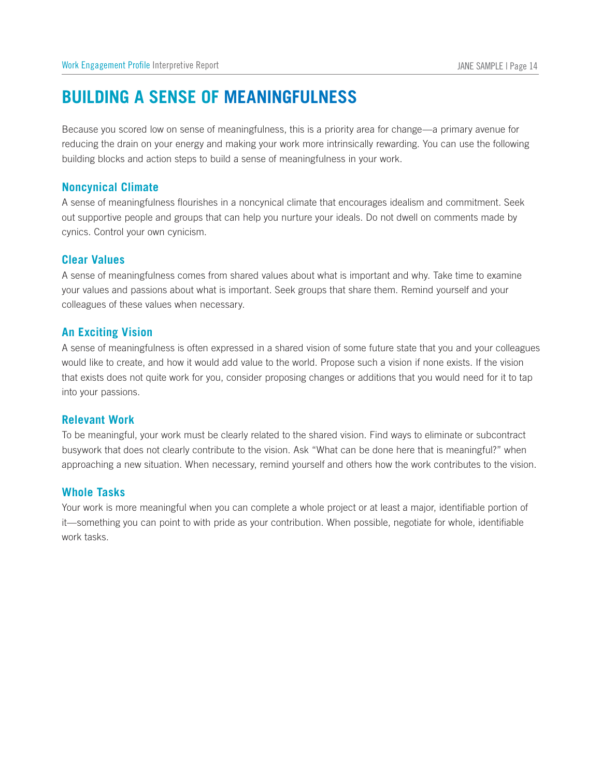# **Building a Sense of Meaningfulness**

Because you scored low on sense of meaningfulness, this is a priority area for change—a primary avenue for reducing the drain on your energy and making your work more intrinsically rewarding. You can use the following building blocks and action steps to build a sense of meaningfulness in your work. Work Engagement Profile In<br> **BUILDING AS**<br>
Because you scored loveducing the drain on y<br>
building blocks and act<br>
Noncynical Climate

A sense of meaningfulness flourishes in a noncynical climate that encourages idealism and commitment. Seek out supportive people and groups that can help you nurture your ideals. Do not dwell on comments made by cynics. Control your own cynicism. **COMPTE SECUTE DINCE**<br>
Because you sereducing the dividing blocks<br> **Noncynical CA**<br>
Sense of meadout supportive<br>
cynics. Control<br> **Clear Values** Feducing the dram on<br>building blocks and at<br>**Noncynical Climat**<br>A sense of meaningfu<br>out supportive people<br>cynics. Control your o<br>**Clear Values**<br>A sense of meaningfu<br>your values and passi<br>colleagues of these va<br>**An Excitin** 

A sense of meaningfulness comes from shared values about what is important and why. Take time to examine your values and passions about what is important. Seek groups that share them. Remind yourself and your colleagues of these values when necessary.

A sense of meaningfulness is often expressed in a shared vision of some future state that you and your colleagues would like to create, and how it would add value to the world. Propose such a vision if none exists. If the vision that exists does not quite work for you, consider proposing changes or additions that you would need for it to tap into your passions.

### **Relevant Work**

To be meaningful, your work must be clearly related to the shared vision. Find ways to eliminate or subcontract busywork that does not clearly contribute to the vision. Ask "What can be done here that is meaningful?" when approaching a new situation. When necessary, remind yourself and others how the work contributes to the vision.

### **Whole Tasks**

Your work is more meaningful when you can complete a whole project or at least a major, identifiable portion of it—something you can point to with pride as your contribution. When possible, negotiate for whole, identifiable work tasks.